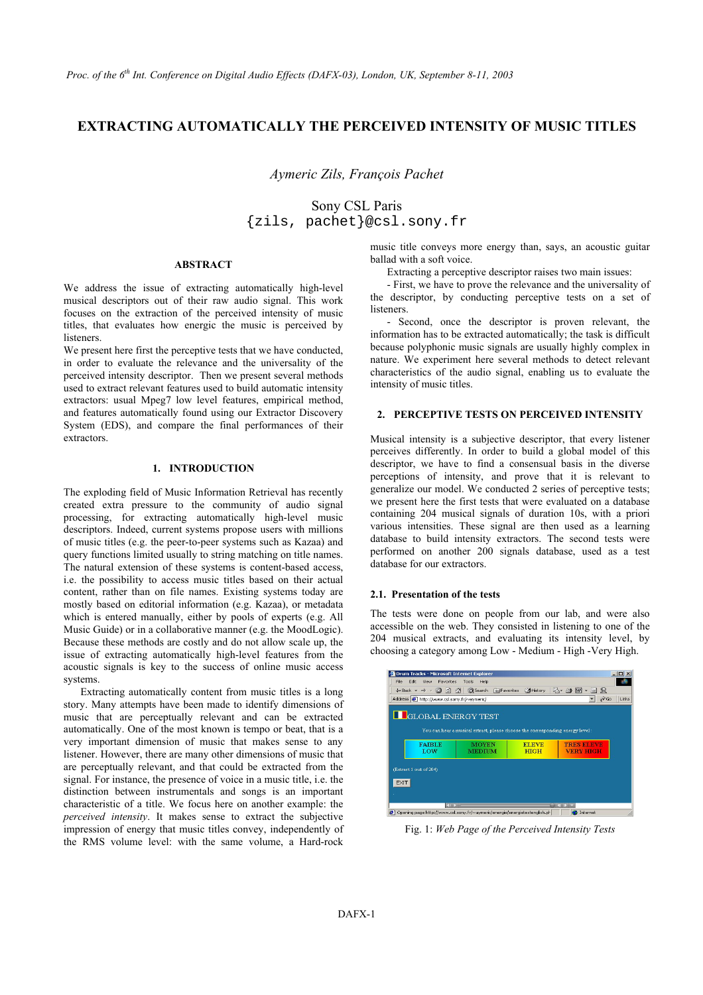# **EXTRACTING AUTOMATICALLY THE PERCEIVED INTENSITY OF MUSIC TITLES**

*Aymeric Zils, François Pachet* 

Sony CSL Paris {zils, pachet}@csl.sony.fr

### **ABSTRACT**

We address the issue of extracting automatically high-level musical descriptors out of their raw audio signal. This work focuses on the extraction of the perceived intensity of music titles, that evaluates how energic the music is perceived by listeners.

We present here first the perceptive tests that we have conducted, in order to evaluate the relevance and the universality of the perceived intensity descriptor. Then we present several methods used to extract relevant features used to build automatic intensity extractors: usual Mpeg7 low level features, empirical method, and features automatically found using our Extractor Discovery System (EDS), and compare the final performances of their extractors.

## **1. INTRODUCTION**

The exploding field of Music Information Retrieval has recently created extra pressure to the community of audio signal processing, for extracting automatically high-level music descriptors. Indeed, current systems propose users with millions of music titles (e.g. the peer-to-peer systems such as Kazaa) and query functions limited usually to string matching on title names. The natural extension of these systems is content-based access, i.e. the possibility to access music titles based on their actual content, rather than on file names. Existing systems today are mostly based on editorial information (e.g. Kazaa), or metadata which is entered manually, either by pools of experts (e.g. All Music Guide) or in a collaborative manner (e.g. the MoodLogic). Because these methods are costly and do not allow scale up, the issue of extracting automatically high-level features from the acoustic signals is key to the success of online music access systems.

Extracting automatically content from music titles is a long story. Many attempts have been made to identify dimensions of music that are perceptually relevant and can be extracted automatically. One of the most known is tempo or beat, that is a very important dimension of music that makes sense to any listener. However, there are many other dimensions of music that are perceptually relevant, and that could be extracted from the signal. For instance, the presence of voice in a music title, i.e. the distinction between instrumentals and songs is an important characteristic of a title. We focus here on another example: the *perceived intensity*. It makes sense to extract the subjective impression of energy that music titles convey, independently of the RMS volume level: with the same volume, a Hard-rock

music title conveys more energy than, says, an acoustic guitar ballad with a soft voice.

Extracting a perceptive descriptor raises two main issues:

- First, we have to prove the relevance and the universality of the descriptor, by conducting perceptive tests on a set of listeners.

- Second, once the descriptor is proven relevant, the information has to be extracted automatically; the task is difficult because polyphonic music signals are usually highly complex in nature. We experiment here several methods to detect relevant characteristics of the audio signal, enabling us to evaluate the intensity of music titles.

## **2. PERCEPTIVE TESTS ON PERCEIVED INTENSITY**

Musical intensity is a subjective descriptor, that every listener perceives differently. In order to build a global model of this descriptor, we have to find a consensual basis in the diverse perceptions of intensity, and prove that it is relevant to generalize our model. We conducted 2 series of perceptive tests; we present here the first tests that were evaluated on a database containing 204 musical signals of duration 10s, with a priori various intensities. These signal are then used as a learning database to build intensity extractors. The second tests were performed on another 200 signals database, used as a test database for our extractors.

## **2.1. Presentation of the tests**

The tests were done on people from our lab, and were also accessible on the web. They consisted in listening to one of the 204 musical extracts, and evaluating its intensity level, by choosing a category among Low - Medium - High -Very High.

| Edit<br>File<br>View                         | Favorites Tools<br>Help                                                                                      |                             |                                                              |       |
|----------------------------------------------|--------------------------------------------------------------------------------------------------------------|-----------------------------|--------------------------------------------------------------|-------|
|                                              | $\leftarrow$ Back ▼ → → ◎ 図 △ © Search [a] Favorites ① History                                               |                             | $\mathbb{R}$ - $\Rightarrow$ W $\cdot$ $\equiv$ $\mathbb{R}$ |       |
| Address (2) http://www.csl.sony.fr/~aymeric/ |                                                                                                              |                             | $\approx$ Go                                                 | Links |
|                                              | <b>LEGLOBAL ENERGY TEST</b><br>You can hear a musical extract, please choose the corresponding energy level: |                             |                                                              |       |
| <b>FAIRLE</b><br>LOW                         | <b>MOYEN</b><br>MEDIUM                                                                                       | <b>ELEVE</b><br><b>HTGH</b> | <b>TRES ELEVE</b><br><b>VERY HIGH</b>                        |       |
| (Extract 1 out of 204)                       |                                                                                                              |                             |                                                              |       |
| <b>EXIT</b>                                  |                                                                                                              |                             |                                                              |       |
|                                              |                                                                                                              |                             |                                                              |       |
|                                              | <b>COIDER</b>                                                                                                |                             | $\left( 1 \right)$                                           |       |
|                                              |                                                                                                              |                             |                                                              |       |

Fig. 1: *Web Page of the Perceived Intensity Tests*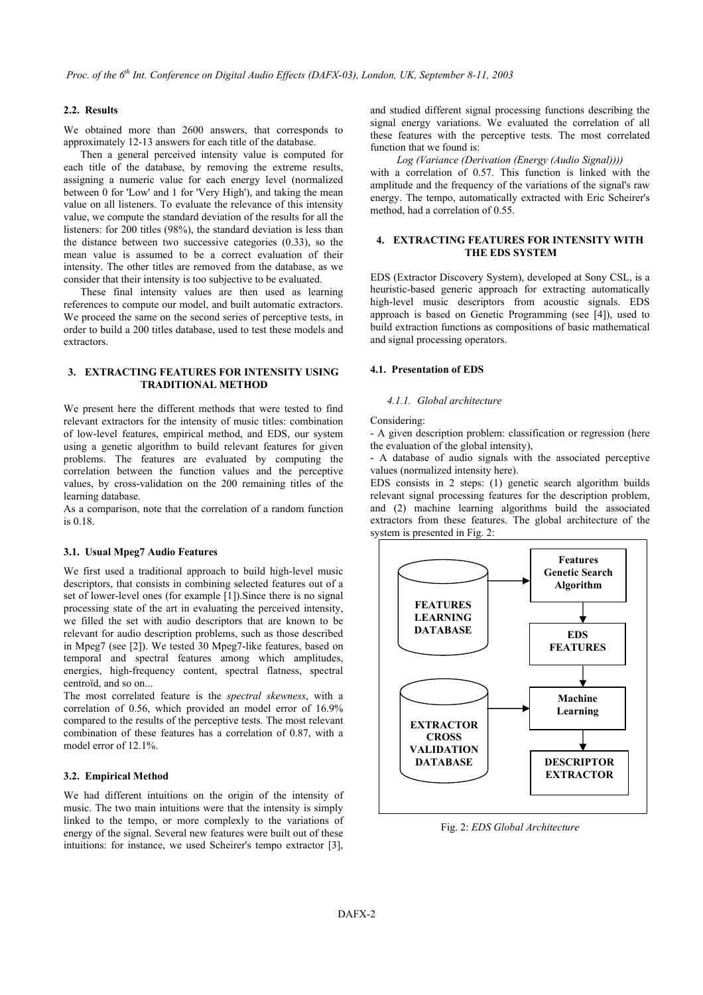## **2.2. Results**

We obtained more than 2600 answers, that corresponds to approximately 12-13 answers for each title of the database.

Then a general perceived intensity value is computed for each title of the database, by removing the extreme results, assigning a numeric value for each energy level (normalized between 0 for 'Low' and 1 for 'Very High'), and taking the mean value on all listeners. To evaluate the relevance of this intensity value, we compute the standard deviation of the results for all the listeners: for 200 titles (98%), the standard deviation is less than the distance between two successive categories (0.33), so the mean value is assumed to be a correct evaluation of their intensity. The other titles are removed from the database, as we consider that their intensity is too subjective to be evaluated.

These final intensity values are then used as learning references to compute our model, and built automatic extractors. We proceed the same on the second series of perceptive tests, in order to build a 200 titles database, used to test these models and extractors.

## **3. EXTRACTING FEATURES FOR INTENSITY USING TRADITIONAL METHOD**

We present here the different methods that were tested to find relevant extractors for the intensity of music titles: combination of low-level features, empirical method, and EDS, our system using a genetic algorithm to build relevant features for given problems. The features are evaluated by computing the correlation between the function values and the perceptive values, by cross-validation on the 200 remaining titles of the learning database.

As a comparison, note that the correlation of a random function is 0.18.

## **3.1. Usual Mpeg7 Audio Features**

We first used a traditional approach to build high-level music descriptors, that consists in combining selected features out of a set of lower-level ones (for example [1]).Since there is no signal processing state of the art in evaluating the perceived intensity, we filled the set with audio descriptors that are known to be relevant for audio description problems, such as those described in Mpeg7 (see [2]). We tested 30 Mpeg7-like features, based on temporal and spectral features among which amplitudes, energies, high-frequency content, spectral flatness, spectral centroïd, and so on...

The most correlated feature is the *spectral skewness*, with a correlation of 0.56, which provided an model error of 16.9% compared to the results of the perceptive tests. The most relevant combination of these features has a correlation of 0.87, with a model error of 12.1%.

### **3.2. Empirical Method**

We had different intuitions on the origin of the intensity of music. The two main intuitions were that the intensity is simply linked to the tempo, or more complexly to the variations of energy of the signal. Several new features were built out of these intuitions: for instance, we used Scheirer's tempo extractor [3],

and studied different signal processing functions describing the signal energy variations. We evaluated the correlation of all these features with the perceptive tests. The most correlated function that we found is:

*Log (Variance (Derivation (Energy (Audio Signal))))* 

with a correlation of 0.57. This function is linked with the amplitude and the frequency of the variations of the signal's raw energy. The tempo, automatically extracted with Eric Scheirer's method, had a correlation of 0.55.

## **4. EXTRACTING FEATURES FOR INTENSITY WITH THE EDS SYSTEM**

EDS (Extractor Discovery System), developed at Sony CSL, is a heuristic-based generic approach for extracting automatically high-level music descriptors from acoustic signals. EDS approach is based on Genetic Programming (see [4]), used to build extraction functions as compositions of basic mathematical and signal processing operators.

## **4.1. Presentation of EDS**

## *4.1.1. Global architecture*

Considering:

- A given description problem: classification or regression (here the evaluation of the global intensity),

- A database of audio signals with the associated perceptive values (normalized intensity here).

EDS consists in 2 steps: (1) genetic search algorithm builds relevant signal processing features for the description problem, and (2) machine learning algorithms build the associated extractors from these features. The global architecture of the system is presented in Fig. 2:



Fig. 2: *EDS Global Architecture*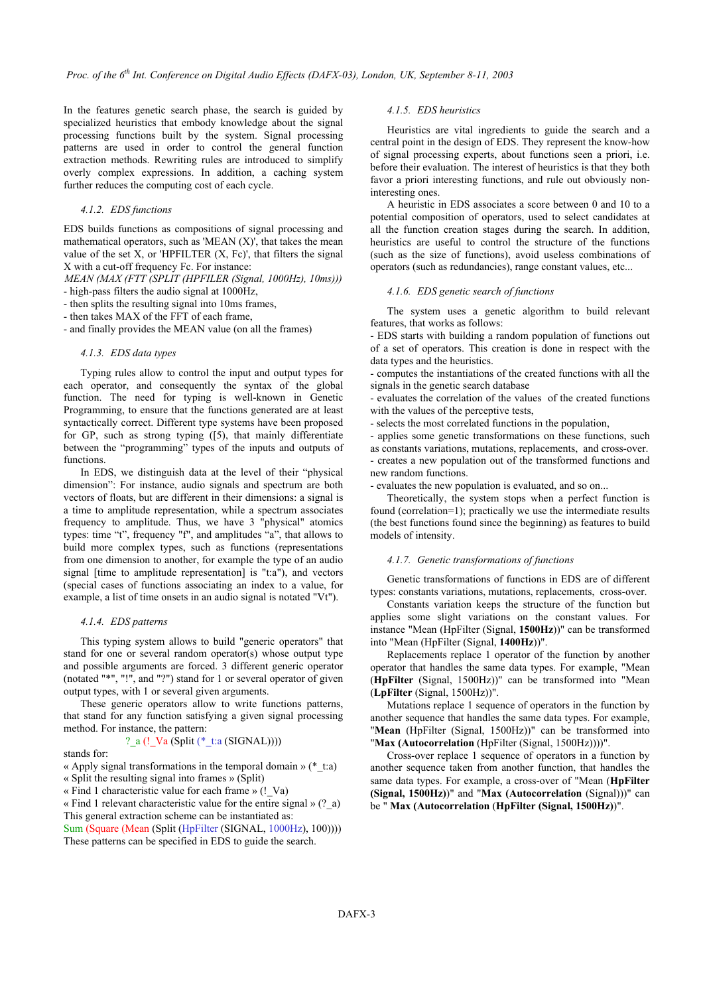In the features genetic search phase, the search is guided by *4.1.5. EDS heuristics*  specialized heuristics that embody knowledge about the signal processing functions built by the system. Signal processing patterns are used in order to control the general function extraction methods. Rewriting rules are introduced to simplify overly complex expressions. In addition, a caching system further reduces the computing cost of each cycle.

### *4.1.2. EDS functions*

EDS builds functions as compositions of signal processing and mathematical operators, such as 'MEAN  $(X)$ ', that takes the mean value of the set  $X$ , or 'HPFILTER  $(X, Fc)'$ , that filters the signal X with a cut-off frequency Fc. For instance:

*MEAN (MAX (FTT (SPLIT (HPFILER (Signal, 1000Hz), 10ms)))* 

- high-pass filters the audio signal at 1000Hz, *4.1.6. EDS genetic search of functions* 

Find the features MAX of the FFT of each frame,<br>
Find the system uses a gene<br>
features, that works as follows:<br>
Find the frames)<br>
teatures, that works as follows:

### *4.1.3. EDS data types*

Typing rules allow to control the input and output types for each operator, and consequently the syntax of the global function. The need for typing is well-known in Genetic Programming, to ensure that the functions generated are at least syntactically correct. Different type systems have been proposed for GP, such as strong typing ([5), that mainly differentiate between the "programming" types of the inputs and outputs of functions.

In EDS, we distinguish data at the level of their "physical new random functions. dimension": For instance, audio signals and spectrum are both vectors of floats, but are different in their dimensions: a signal is a time to amplitude representation, while a spectrum associates frequency to amplitude. Thus, we have 3 "physical" atomics types: time "t", frequency "f", and amplitudes "a", that allows to build more complex types, such as functions (representations from one dimension to another, for example the type of an audio signal [time to amplitude representation] is "t:a"), and vectors (special cases of functions associating an index to a value, for example, a list of time onsets in an audio signal is notated "Vt").

#### *4.1.4. EDS patterns*

This typing system allows to build "generic operators" that stand for one or several random operator(s) whose output type and possible arguments are forced. 3 different generic operator (notated "\*", "!", and "?") stand for 1 or several operator of given output types, with 1 or several given arguments.

These generic operators allow to write functions patterns, that stand for any function satisfying a given signal processing method. For instance, the pattern:

« Apply signal transformations in the temporal domain » (\* t:a)

« Split the resulting signal into frames » (Split)

« Find 1 characteristic value for each frame »  $(! \text{ Va})$ 

« Find 1 relevant characteristic value for the entire signal » (?\_a) This general extraction scheme can be instantiated as:

Sum (Square (Mean (Split (HpFilter (SIGNAL, 1000Hz), 100)))) These patterns can be specified in EDS to guide the search.

Heuristics are vital ingredients to guide the search and a central point in the design of EDS. They represent the know-how of signal processing experts, about functions seen a priori, i.e. before their evaluation. The interest of heuristics is that they both favor a priori interesting functions, and rule out obviously noninteresting ones.

A heuristic in EDS associates a score between 0 and 10 to a potential composition of operators, used to select candidates at all the function creation stages during the search. In addition, heuristics are useful to control the structure of the functions (such as the size of functions), avoid useless combinations of operators (such as redundancies), range constant values, etc...

- then splits the resulting signal into 10ms frames,<br>then takes MAV of the EET of each frame,<br>then takes MAV of the EET of each frame,

- EDS starts with building a random population of functions out of a set of operators. This creation is done in respect with the data types and the heuristics.

- computes the instantiations of the created functions with all the signals in the genetic search database

- evaluates the correlation of the values of the created functions with the values of the perceptive tests,

- selects the most correlated functions in the population,

- applies some genetic transformations on these functions, such as constants variations, mutations, replacements, and cross-over. - creates a new population out of the transformed functions and

- evaluates the new population is evaluated, and so on...

Theoretically, the system stops when a perfect function is found (correlation=1); practically we use the intermediate results (the best functions found since the beginning) as features to build models of intensity.

### *4.1.7. Genetic transformations of functions*

Genetic transformations of functions in EDS are of different types: constants variations, mutations, replacements, cross-over.

Constants variation keeps the structure of the function but applies some slight variations on the constant values. For instance "Mean (HpFilter (Signal, **1500Hz**))" can be transformed into "Mean (HpFilter (Signal, **1400Hz**))".

Replacements replace 1 operator of the function by another operator that handles the same data types. For example, "Mean (**HpFilter** (Signal, 1500Hz))" can be transformed into "Mean (**LpFilter** (Signal, 1500Hz))".

Mutations replace 1 sequence of operators in the function by another sequence that handles the same data types. For example, "**Mean** (HpFilter (Signal, 1500Hz))" can be transformed into ?\_a (!\_Va (Split (\*\_t:a (SIGNAL)))) **Wax (Autocorrelation** (HpFilter (Signal, 1500Hz)))".

stands for: Cross-over replace 1 sequence of operators in a function by another sequence taken from another function, that handles the same data types. For example, a cross-over of "Mean (**HpFilter (Signal, 1500Hz)**)" and "**Max (Autocorrelation** (Signal)))" can be " **Max (Autocorrelation** (**HpFilter (Signal, 1500Hz)**)".